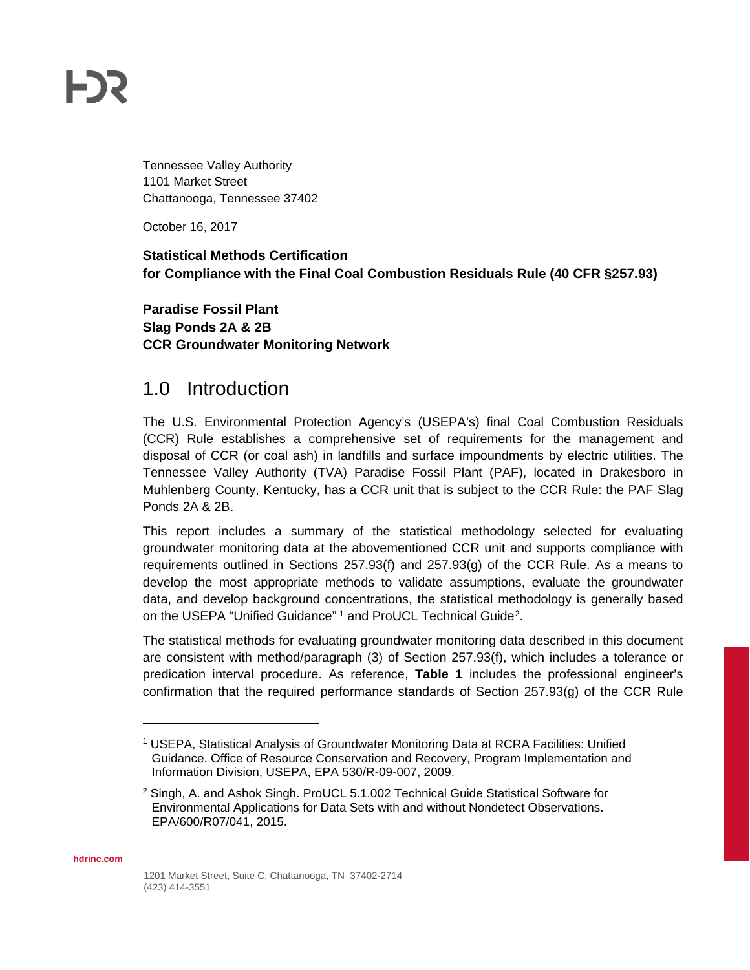# **FDS**

Tennessee Valley Authority 1101 Market Street Chattanooga, Tennessee 37402

October 16, 2017

#### **Statistical Methods Certification for Compliance with the Final Coal Combustion Residuals Rule (40 CFR §257.93)**

**Paradise Fossil Plant Slag Ponds 2A & 2B CCR Groundwater Monitoring Network**

#### 1.0 Introduction

The U.S. Environmental Protection Agency's (USEPA's) final Coal Combustion Residuals (CCR) Rule establishes a comprehensive set of requirements for the management and disposal of CCR (or coal ash) in landfills and surface impoundments by electric utilities. The Tennessee Valley Authority (TVA) Paradise Fossil Plant (PAF), located in Drakesboro in Muhlenberg County, Kentucky, has a CCR unit that is subject to the CCR Rule: the PAF Slag Ponds 2A & 2B.

This report includes a summary of the statistical methodology selected for evaluating groundwater monitoring data at the abovementioned CCR unit and supports compliance with requirements outlined in Sections 257.93(f) and 257.93(g) of the CCR Rule. As a means to develop the most appropriate methods to validate assumptions, evaluate the groundwater data, and develop background concentrations, the statistical methodology is generally based on the USEPA "Unified Guidance" [1](#page-0-0) and ProUCL Technical Guide<sup>[2](#page-0-1)</sup>.

The statistical methods for evaluating groundwater monitoring data described in this document are consistent with method/paragraph (3) of Section 257.93(f), which includes a tolerance or predication interval procedure. As reference, **Table 1** includes the professional engineer's confirmation that the required performance standards of Section 257.93(g) of the CCR Rule

<span id="page-0-1"></span><span id="page-0-0"></span>**hdrinc.com**

 $\overline{a}$ 

<sup>1</sup> USEPA, Statistical Analysis of Groundwater Monitoring Data at RCRA Facilities: Unified Guidance. Office of Resource Conservation and Recovery, Program Implementation and Information Division, USEPA, EPA 530/R-09-007, 2009.

<sup>2</sup> Singh, A. and Ashok Singh. ProUCL 5.1.002 Technical Guide Statistical Software for Environmental Applications for Data Sets with and without Nondetect Observations. EPA/600/R07/041, 2015.

<sup>1201</sup> Market Street, Suite C, Chattanooga, TN 37402-2714 (423) 414-3551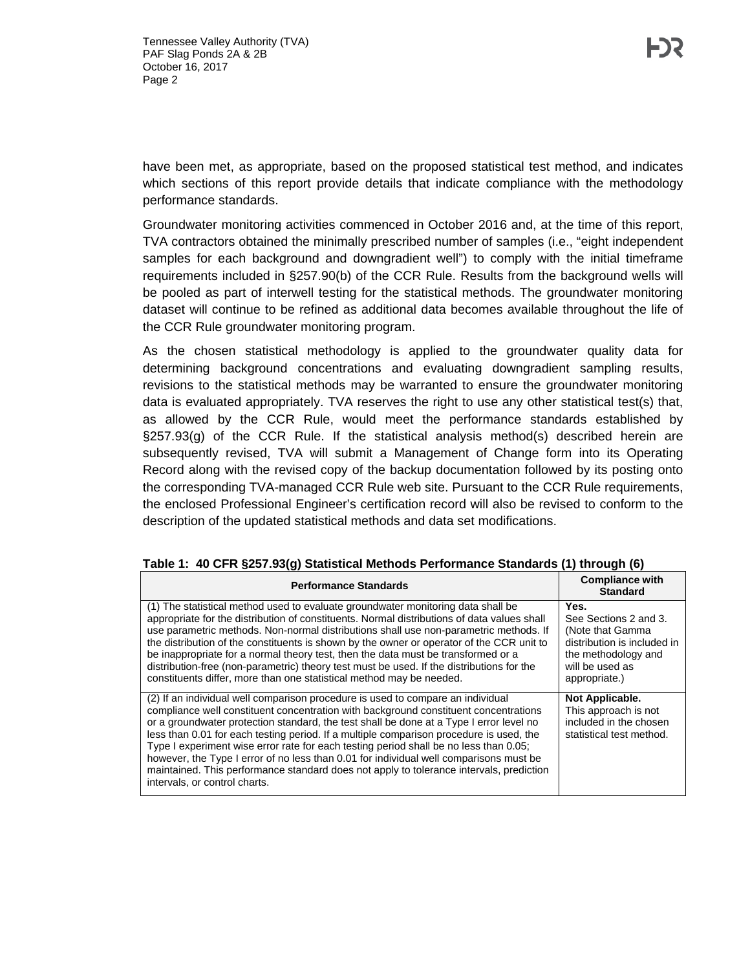have been met, as appropriate, based on the proposed statistical test method, and indicates which sections of this report provide details that indicate compliance with the methodology performance standards.

Groundwater monitoring activities commenced in October 2016 and, at the time of this report, TVA contractors obtained the minimally prescribed number of samples (i.e., "eight independent samples for each background and downgradient well") to comply with the initial timeframe requirements included in §257.90(b) of the CCR Rule. Results from the background wells will be pooled as part of interwell testing for the statistical methods. The groundwater monitoring dataset will continue to be refined as additional data becomes available throughout the life of the CCR Rule groundwater monitoring program.

As the chosen statistical methodology is applied to the groundwater quality data for determining background concentrations and evaluating downgradient sampling results, revisions to the statistical methods may be warranted to ensure the groundwater monitoring data is evaluated appropriately. TVA reserves the right to use any other statistical test(s) that, as allowed by the CCR Rule, would meet the performance standards established by §257.93(g) of the CCR Rule. If the statistical analysis method(s) described herein are subsequently revised, TVA will submit a Management of Change form into its Operating Record along with the revised copy of the backup documentation followed by its posting onto the corresponding TVA-managed CCR Rule web site. Pursuant to the CCR Rule requirements, the enclosed Professional Engineer's certification record will also be revised to conform to the description of the updated statistical methods and data set modifications.

| <b>Performance Standards</b>                                                                                                                                                                                                                                                                                                                                                                                                                                                                                                                                                                                                                                                 | <b>Compliance with</b><br><b>Standard</b>                                                                                                   |
|------------------------------------------------------------------------------------------------------------------------------------------------------------------------------------------------------------------------------------------------------------------------------------------------------------------------------------------------------------------------------------------------------------------------------------------------------------------------------------------------------------------------------------------------------------------------------------------------------------------------------------------------------------------------------|---------------------------------------------------------------------------------------------------------------------------------------------|
| (1) The statistical method used to evaluate groundwater monitoring data shall be<br>appropriate for the distribution of constituents. Normal distributions of data values shall<br>use parametric methods. Non-normal distributions shall use non-parametric methods. If<br>the distribution of the constituents is shown by the owner or operator of the CCR unit to<br>be inappropriate for a normal theory test, then the data must be transformed or a<br>distribution-free (non-parametric) theory test must be used. If the distributions for the<br>constituents differ, more than one statistical method may be needed.                                              | Yes.<br>See Sections 2 and 3.<br>(Note that Gamma<br>distribution is included in<br>the methodology and<br>will be used as<br>appropriate.) |
| (2) If an individual well comparison procedure is used to compare an individual<br>compliance well constituent concentration with background constituent concentrations<br>or a groundwater protection standard, the test shall be done at a Type I error level no<br>less than 0.01 for each testing period. If a multiple comparison procedure is used, the<br>Type I experiment wise error rate for each testing period shall be no less than 0.05;<br>however, the Type I error of no less than 0.01 for individual well comparisons must be<br>maintained. This performance standard does not apply to tolerance intervals, prediction<br>intervals, or control charts. | <b>Not Applicable.</b><br>This approach is not<br>included in the chosen<br>statistical test method.                                        |

#### **Table 1: 40 CFR §257.93(g) Statistical Methods Performance Standards (1) through (6)**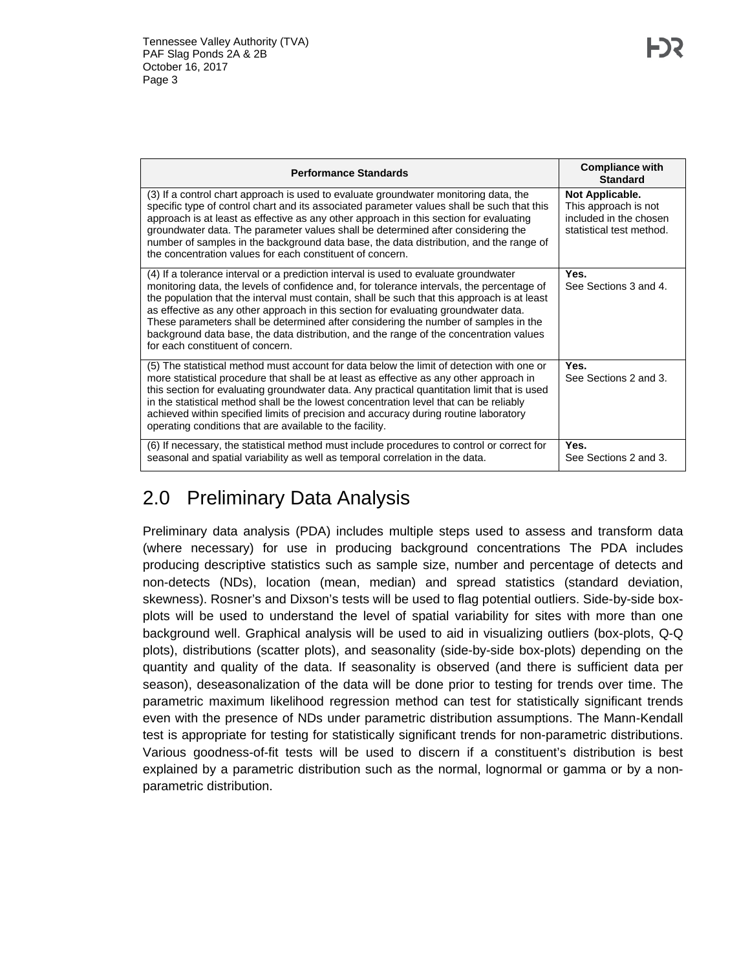| <b>Performance Standards</b>                                                                                                                                                                                                                                                                                                                                                                                                                                                                                                                                                                 | <b>Compliance with</b><br><b>Standard</b>                                                     |
|----------------------------------------------------------------------------------------------------------------------------------------------------------------------------------------------------------------------------------------------------------------------------------------------------------------------------------------------------------------------------------------------------------------------------------------------------------------------------------------------------------------------------------------------------------------------------------------------|-----------------------------------------------------------------------------------------------|
| (3) If a control chart approach is used to evaluate groundwater monitoring data, the<br>specific type of control chart and its associated parameter values shall be such that this<br>approach is at least as effective as any other approach in this section for evaluating<br>groundwater data. The parameter values shall be determined after considering the<br>number of samples in the background data base, the data distribution, and the range of<br>the concentration values for each constituent of concern.                                                                      | Not Applicable.<br>This approach is not<br>included in the chosen<br>statistical test method. |
| (4) If a tolerance interval or a prediction interval is used to evaluate groundwater<br>monitoring data, the levels of confidence and, for tolerance intervals, the percentage of<br>the population that the interval must contain, shall be such that this approach is at least<br>as effective as any other approach in this section for evaluating groundwater data.<br>These parameters shall be determined after considering the number of samples in the<br>background data base, the data distribution, and the range of the concentration values<br>for each constituent of concern. | Yes.<br>See Sections 3 and 4.                                                                 |
| (5) The statistical method must account for data below the limit of detection with one or<br>more statistical procedure that shall be at least as effective as any other approach in<br>this section for evaluating groundwater data. Any practical quantitation limit that is used<br>in the statistical method shall be the lowest concentration level that can be reliably<br>achieved within specified limits of precision and accuracy during routine laboratory<br>operating conditions that are available to the facility.                                                            | Yes.<br>See Sections 2 and 3.                                                                 |
| (6) If necessary, the statistical method must include procedures to control or correct for<br>seasonal and spatial variability as well as temporal correlation in the data.                                                                                                                                                                                                                                                                                                                                                                                                                  | Yes.<br>See Sections 2 and 3.                                                                 |

### 2.0 Preliminary Data Analysis

Preliminary data analysis (PDA) includes multiple steps used to assess and transform data (where necessary) for use in producing background concentrations The PDA includes producing descriptive statistics such as sample size, number and percentage of detects and non-detects (NDs), location (mean, median) and spread statistics (standard deviation, skewness). Rosner's and Dixson's tests will be used to flag potential outliers. Side-by-side boxplots will be used to understand the level of spatial variability for sites with more than one background well. Graphical analysis will be used to aid in visualizing outliers (box-plots, Q-Q plots), distributions (scatter plots), and seasonality (side-by-side box-plots) depending on the quantity and quality of the data. If seasonality is observed (and there is sufficient data per season), deseasonalization of the data will be done prior to testing for trends over time. The parametric maximum likelihood regression method can test for statistically significant trends even with the presence of NDs under parametric distribution assumptions. The Mann-Kendall test is appropriate for testing for statistically significant trends for non-parametric distributions. Various goodness-of-fit tests will be used to discern if a constituent's distribution is best explained by a parametric distribution such as the normal, lognormal or gamma or by a nonparametric distribution.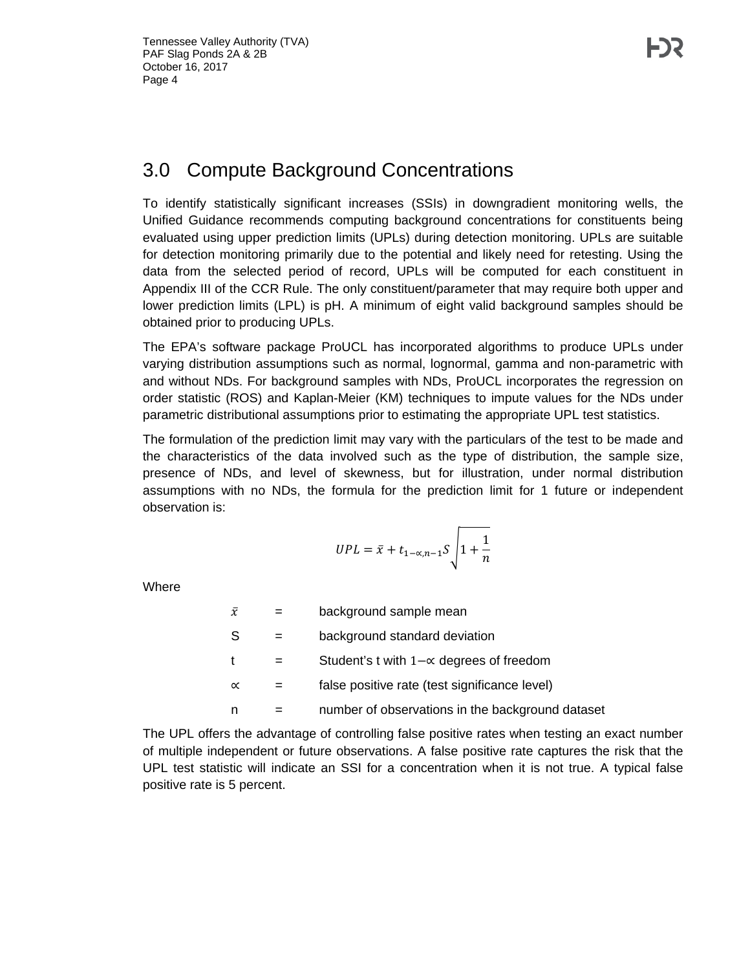#### 3.0 Compute Background Concentrations

To identify statistically significant increases (SSIs) in downgradient monitoring wells, the Unified Guidance recommends computing background concentrations for constituents being evaluated using upper prediction limits (UPLs) during detection monitoring. UPLs are suitable for detection monitoring primarily due to the potential and likely need for retesting. Using the data from the selected period of record, UPLs will be computed for each constituent in Appendix III of the CCR Rule. The only constituent/parameter that may require both upper and lower prediction limits (LPL) is pH. A minimum of eight valid background samples should be obtained prior to producing UPLs.

The EPA's software package ProUCL has incorporated algorithms to produce UPLs under varying distribution assumptions such as normal, lognormal, gamma and non-parametric with and without NDs. For background samples with NDs, ProUCL incorporates the regression on order statistic (ROS) and Kaplan-Meier (KM) techniques to impute values for the NDs under parametric distributional assumptions prior to estimating the appropriate UPL test statistics.

The formulation of the prediction limit may vary with the particulars of the test to be made and the characteristics of the data involved such as the type of distribution, the sample size, presence of NDs, and level of skewness, but for illustration, under normal distribution assumptions with no NDs, the formula for the prediction limit for 1 future or independent observation is:

$$
UPL = \bar{x} + t_{1-\alpha,n-1}S\sqrt{1+\frac{1}{n}}
$$

**Where** 

| $\bar{x}$    | background sample mean                           |
|--------------|--------------------------------------------------|
| -S           | background standard deviation                    |
| $\mathbf{t}$ | Student's t with $1-\alpha$ degrees of freedom   |
| $\propto$    | false positive rate (test significance level)    |
| n            | number of observations in the background dataset |

The UPL offers the advantage of controlling false positive rates when testing an exact number of multiple independent or future observations. A false positive rate captures the risk that the UPL test statistic will indicate an SSI for a concentration when it is not true. A typical false positive rate is 5 percent.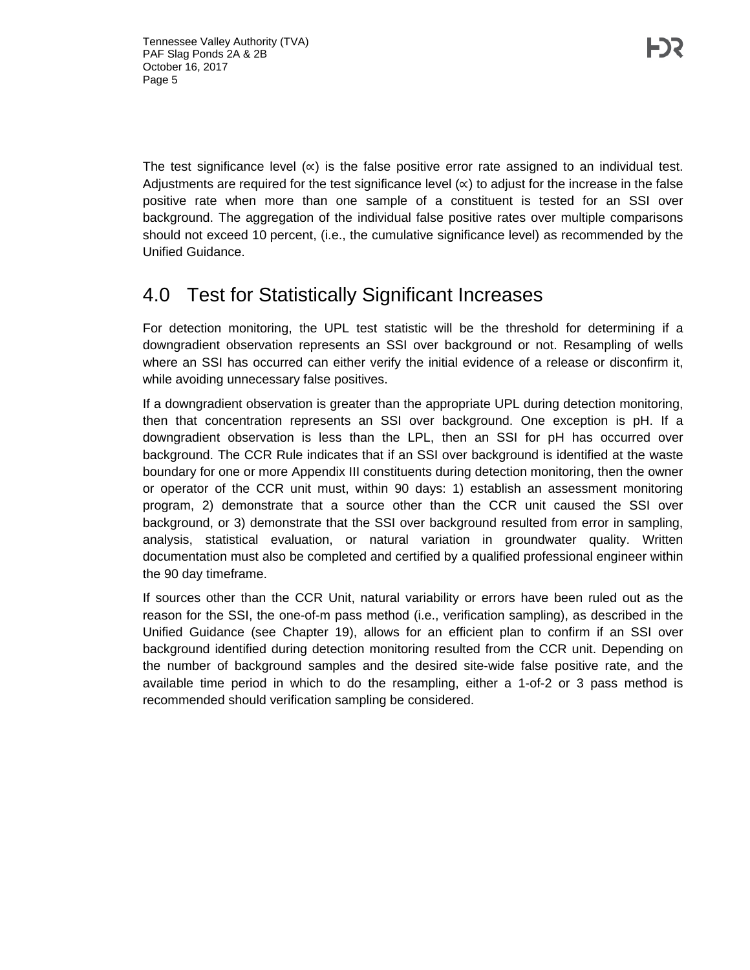The test significance level  $(x)$  is the false positive error rate assigned to an individual test. Adjustments are required for the test significance level  $(x)$  to adjust for the increase in the false positive rate when more than one sample of a constituent is tested for an SSI over background. The aggregation of the individual false positive rates over multiple comparisons should not exceed 10 percent, (i.e., the cumulative significance level) as recommended by the Unified Guidance.

#### 4.0 Test for Statistically Significant Increases

For detection monitoring, the UPL test statistic will be the threshold for determining if a downgradient observation represents an SSI over background or not. Resampling of wells where an SSI has occurred can either verify the initial evidence of a release or disconfirm it, while avoiding unnecessary false positives.

If a downgradient observation is greater than the appropriate UPL during detection monitoring, then that concentration represents an SSI over background. One exception is pH. If a downgradient observation is less than the LPL, then an SSI for pH has occurred over background. The CCR Rule indicates that if an SSI over background is identified at the waste boundary for one or more Appendix III constituents during detection monitoring, then the owner or operator of the CCR unit must, within 90 days: 1) establish an assessment monitoring program, 2) demonstrate that a source other than the CCR unit caused the SSI over background, or 3) demonstrate that the SSI over background resulted from error in sampling, analysis, statistical evaluation, or natural variation in groundwater quality. Written documentation must also be completed and certified by a qualified professional engineer within the 90 day timeframe.

If sources other than the CCR Unit, natural variability or errors have been ruled out as the reason for the SSI, the one-of-m pass method (i.e., verification sampling), as described in the Unified Guidance (see Chapter 19), allows for an efficient plan to confirm if an SSI over background identified during detection monitoring resulted from the CCR unit. Depending on the number of background samples and the desired site-wide false positive rate, and the available time period in which to do the resampling, either a 1-of-2 or 3 pass method is recommended should verification sampling be considered.